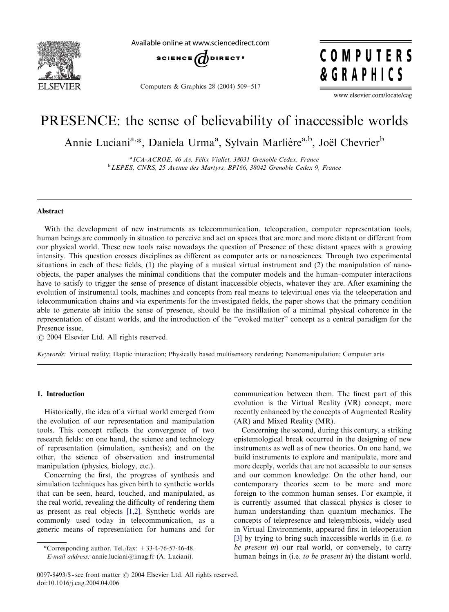

Available online at www.sciencedirect.com



Computers & Graphics 28 (2004) 509–517

# COMPUTERS & GRAPHICS

www.elsevier.com/locate/cag

# PRESENCE: the sense of believability of inaccessible worlds

Annie Luciani<sup>a,</sup>\*, Daniela Urma<sup>a</sup>, Sylvain Marlière<sup>a,b</sup>, Joël Chevrier<sup>b</sup>

<sup>a</sup> ICA-ACROE, 46 Av. Félix Viallet, 38031 Grenoble Cedex, France <sup>b</sup>LEPES, CNRS, 25 Avenue des Martyrs, BP166, 38042 Grenoble Cedex 9, France

# Abstract

With the development of new instruments as telecommunication, teleoperation, computer representation tools, human beings are commonly in situation to perceive and act on spaces that are more and more distant or different from our physical world. These new tools raise nowadays the question of Presence of these distant spaces with a growing intensity. This question crosses disciplines as different as computer arts or nanosciences. Through two experimental situations in each of these fields, (1) the playing of a musical virtual instrument and (2) the manipulation of nanoobjects, the paper analyses the minimal conditions that the computer models and the human–computer interactions have to satisfy to trigger the sense of presence of distant inaccessible objects, whatever they are. After examining the evolution of instrumental tools, machines and concepts from real means to televirtual ones via the teleoperation and telecommunication chains and via experiments for the investigated fields, the paper shows that the primary condition able to generate ab initio the sense of presence, should be the instillation of a minimal physical coherence in the representation of distant worlds, and the introduction of the ''evoked matter'' concept as a central paradigm for the Presence issue.

 $\odot$  2004 Elsevier Ltd. All rights reserved.

Keywords: Virtual reality; Haptic interaction; Physically based multisensory rendering; Nanomanipulation; Computer arts

# 1. Introduction

Historically, the idea of a virtual world emerged from the evolution of our representation and manipulation tools. This concept reflects the convergence of two research fields: on one hand, the science and technology of representation (simulation, synthesis); and on the other, the science of observation and instrumental manipulation (physics, biology, etc.).

Concerning the first, the progress of synthesis and simulation techniques has given birth to synthetic worlds that can be seen, heard, touched, and manipulated, as the real world, revealing the difficulty of rendering them as present as real objects [\[1,2\].](#page-7-0) Synthetic worlds are commonly used today in telecommunication, as a generic means of representation for humans and for

communication between them. The finest part of this evolution is the Virtual Reality (VR) concept, more recently enhanced by the concepts of Augmented Reality (AR) and Mixed Reality (MR).

Concerning the second, during this century, a striking epistemological break occurred in the designing of new instruments as well as of new theories. On one hand, we build instruments to explore and manipulate, more and more deeply, worlds that are not accessible to our senses and our common knowledge. On the other hand, our contemporary theories seem to be more and more foreign to the common human senses. For example, it is currently assumed that classical physics is closer to human understanding than quantum mechanics. The concepts of telepresence and telesymbiosis, widely used in Virtual Environments, appeared first in teleoperation [\[3\]](#page-8-0) by trying to bring such inaccessible worlds in (i.e. *to* be present in) our real world, or conversely, to carry human beings in (i.e. to be present in) the distant world.

<sup>\*</sup>Corresponding author. Tel./fax:  $+33-4-76-57-46-48$ . E-mail address: annie.luciani@imag.fr (A. Luciani).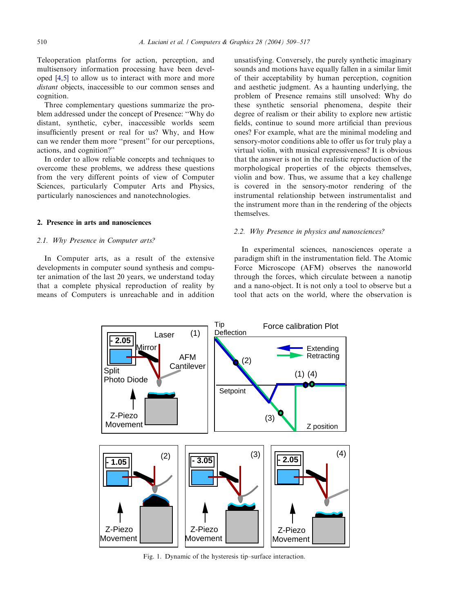<span id="page-1-0"></span>Teleoperation platforms for action, perception, and multisensory information processing have been developed [\[4,5\]](#page-8-0) to allow us to interact with more and more distant objects, inaccessible to our common senses and cognition.

Three complementary questions summarize the problem addressed under the concept of Presence: "Why do distant, synthetic, cyber, inaccessible worlds seem insufficiently present or real for us? Why, and How can we render them more ''present'' for our perceptions, actions, and cognition?''

In order to allow reliable concepts and techniques to overcome these problems, we address these questions from the very different points of view of Computer Sciences, particularly Computer Arts and Physics, particularly nanosciences and nanotechnologies.

#### 2. Presence in arts and nanosciences

#### 2.1. Why Presence in Computer arts?

In Computer arts, as a result of the extensive developments in computer sound synthesis and computer animation of the last 20 years, we understand today that a complete physical reproduction of reality by means of Computers is unreachable and in addition

unsatisfying. Conversely, the purely synthetic imaginary sounds and motions have equally fallen in a similar limit of their acceptability by human perception, cognition and aesthetic judgment. As a haunting underlying, the problem of Presence remains still unsolved:Why do these synthetic sensorial phenomena, despite their degree of realism or their ability to explore new artistic fields, continue to sound more artificial than previous ones? For example, what are the minimal modeling and sensory-motor conditions able to offer us for truly play a virtual violin, with musical expressiveness? It is obvious that the answer is not in the realistic reproduction of the morphological properties of the objects themselves, violin and bow. Thus, we assume that a key challenge is covered in the sensory-motor rendering of the instrumental relationship between instrumentalist and the instrument more than in the rendering of the objects themselves.

# 2.2. Why Presence in physics and nanosciences?

In experimental sciences, nanosciences operate a paradigm shift in the instrumentation field. The Atomic Force Microscope (AFM) observes the nanoworld through the forces, which circulate between a nanotip and a nano-object. It is not only a tool to observe but a tool that acts on the world, where the observation is



Fig. 1. Dynamic of the hysteresis tip–surface interaction.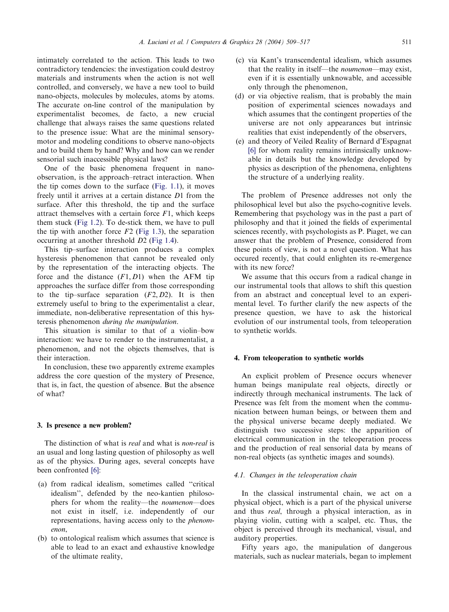intimately correlated to the action. This leads to two contradictory tendencies: the investigation could destroy materials and instruments when the action is not well controlled, and conversely, we have a new tool to build nano-objects, molecules by molecules, atoms by atoms. The accurate on-line control of the manipulation by experimentalist becomes, de facto, a new crucial challenge that always raises the same questions related to the presence issue:What are the minimal sensorymotor and modeling conditions to observe nano-objects and to build them by hand? Why and how can we render sensorial such inaccessible physical laws?

One of the basic phenomena frequent in nanoobservation, is the approach–retract interaction. When the tip comes down to the surface [\(Fig. 1.1\)](#page-1-0), it moves freely until it arrives at a certain distance D1 from the surface. After this threshold, the tip and the surface attract themselves with a certain force  $F1$ , which keeps them stuck [\(Fig 1.2\)](#page-1-0). To de-stick them, we have to pull the tip with another force  $F2$  ([Fig 1.3\)](#page-1-0), the separation occurring at another threshold D2 ([Fig 1.4](#page-1-0)).

This tip–surface interaction produces a complex hysteresis phenomenon that cannot be revealed only by the representation of the interacting objects. The force and the distance  $(F1, D1)$  when the AFM tip approaches the surface differ from those corresponding to the tip–surface separation  $(F2, D2)$ . It is then extremely useful to bring to the experimentalist a clear, immediate, non-deliberative representation of this hysteresis phenomenon during the manipulation.

This situation is similar to that of a violin–bow interaction:we have to render to the instrumentalist, a phenomenon, and not the objects themselves, that is their interaction.

In conclusion, these two apparently extreme examples address the core question of the mystery of Presence, that is, in fact, the question of absence. But the absence of what?

#### 3. Is presence a new problem?

The distinction of what is *real* and what is *non-real* is an usual and long lasting question of philosophy as well as of the physics. During ages, several concepts have been confronted [\[6\]:](#page-8-0)

- (a) from radical idealism, sometimes called ''critical idealism'', defended by the neo-kantien philosophers for whom the reality—the noumenon—does not exist in itself, i.e. independently of our representations, having access only to the phenomenon,
- (b) to ontological realism which assumes that science is able to lead to an exact and exhaustive knowledge of the ultimate reality,
- (c) via Kant's transcendental idealism, which assumes that the reality in itself—the noumenon—may exist, even if it is essentially unknowable, and accessible only through the phenomenon,
- (d) or via objective realism, that is probably the main position of experimental sciences nowadays and which assumes that the contingent properties of the universe are not only appearances but intrinsic realities that exist independently of the observers,
- (e) and theory of Veiled Reality of Bernard d'Espagnat [\[6\]](#page-8-0) for whom reality remains intrinsically unknowable in details but the knowledge developed by physics as description of the phenomena, enlightens the structure of a underlying reality.

The problem of Presence addresses not only the philosophical level but also the psycho-cognitive levels. Remembering that psychology was in the past a part of philosophy and that it joined the fields of experimental sciences recently, with psychologists as P. Piaget, we can answer that the problem of Presence, considered from these points of view, is not a novel question. What has occured recently, that could enlighten its re-emergence with its new force?

We assume that this occurs from a radical change in our instrumental tools that allows to shift this question from an abstract and conceptual level to an experimental level. To further clarify the new aspects of the presence question, we have to ask the historical evolution of our instrumental tools, from teleoperation to synthetic worlds.

# 4. From teleoperation to synthetic worlds

An explicit problem of Presence occurs whenever human beings manipulate real objects, directly or indirectly through mechanical instruments. The lack of Presence was felt from the moment when the communication between human beings, or between them and the physical universe became deeply mediated. We distinguish two successive steps: the apparition of electrical communication in the teleoperation process and the production of real sensorial data by means of non-real objects (as synthetic images and sounds).

#### 4.1. Changes in the teleoperation chain

In the classical instrumental chain, we act on a physical object, which is a part of the physical universe and thus real, through a physical interaction, as in playing violin, cutting with a scalpel, etc. Thus, the object is perceived through its mechanical, visual, and auditory properties.

Fifty years ago, the manipulation of dangerous materials, such as nuclear materials, began to implement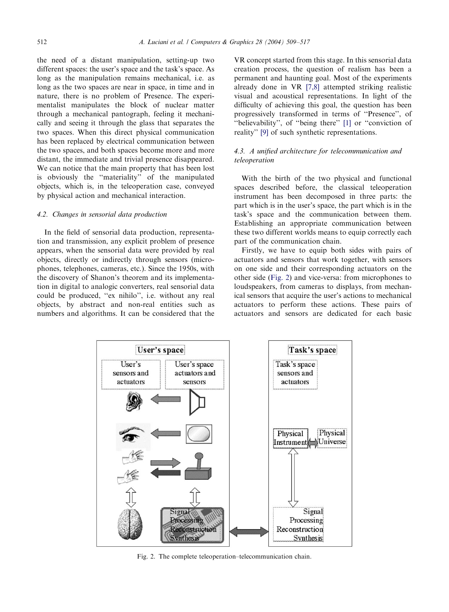<span id="page-3-0"></span>the need of a distant manipulation, setting-up two different spaces: the user's space and the task's space. As long as the manipulation remains mechanical, i.e. as long as the two spaces are near in space, in time and in nature, there is no problem of Presence. The experimentalist manipulates the block of nuclear matter through a mechanical pantograph, feeling it mechanically and seeing it through the glass that separates the two spaces. When this direct physical communication has been replaced by electrical communication between the two spaces, and both spaces become more and more distant, the immediate and trivial presence disappeared. We can notice that the main property that has been lost is obviously the ''materiality'' of the manipulated objects, which is, in the teleoperation case, conveyed by physical action and mechanical interaction.

#### 4.2. Changes in sensorial data production

In the field of sensorial data production, representation and transmission, any explicit problem of presence appears, when the sensorial data were provided by real objects, directly or indirectly through sensors (microphones, telephones, cameras, etc.). Since the 1950s, with the discovery of Shanon's theorem and its implementation in digital to analogic converters, real sensorial data could be produced, ''ex nihilo'', i.e. without any real objects, by abstract and non-real entities such as numbers and algorithms. It can be considered that the

VR concept started from this stage. In this sensorial data creation process, the question of realism has been a permanent and haunting goal. Most of the experiments already done in VR [\[7,8\]](#page-8-0) attempted striking realistic visual and acoustical representations. In light of the difficulty of achieving this goal, the question has been progressively transformed in terms of ''Presence'', of ''believability'', of ''being there'' [\[1\]](#page-7-0) or ''conviction of reality'' [\[9\]](#page-8-0) of such synthetic representations.

# 4.3. A unified architecture for telecommunication and teleoperation

With the birth of the two physical and functional spaces described before, the classical teleoperation instrument has been decomposed in three parts: the part which is in the user's space, the part which is in the task's space and the communication between them. Establishing an appropriate communication between these two different worlds means to equip correctly each part of the communication chain.

Firstly, we have to equip both sides with pairs of actuators and sensors that work together, with sensors on one side and their corresponding actuators on the other side (Fig. 2) and vice-versa: from microphones to loudspeakers, from cameras to displays, from mechanical sensors that acquire the user's actions to mechanical actuators to perform these actions. These pairs of actuators and sensors are dedicated for each basic



Fig. 2. The complete teleoperation–telecommunication chain.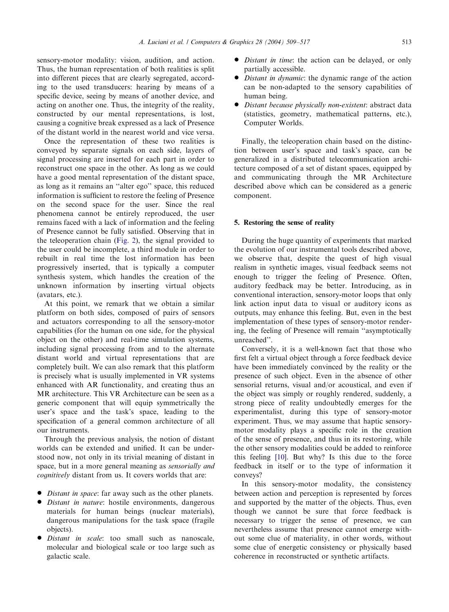sensory-motor modality: vision, audition, and action. Thus, the human representation of both realities is split into different pieces that are clearly segregated, according to the used transducers: hearing by means of a specific device, seeing by means of another device, and acting on another one. Thus, the integrity of the reality, constructed by our mental representations, is lost, causing a cognitive break expressed as a lack of Presence of the distant world in the nearest world and vice versa.

Once the representation of these two realities is conveyed by separate signals on each side, layers of signal processing are inserted for each part in order to reconstruct one space in the other. As long as we could have a good mental representation of the distant space, as long as it remains an ''alter ego'' space, this reduced information is sufficient to restore the feeling of Presence on the second space for the user. Since the real phenomena cannot be entirely reproduced, the user remains faced with a lack of information and the feeling of Presence cannot be fully satisfied. Observing that in the teleoperation chain [\(Fig. 2\)](#page-3-0), the signal provided to the user could be incomplete, a third module in order to rebuilt in real time the lost information has been progressively inserted, that is typically a computer synthesis system, which handles the creation of the unknown information by inserting virtual objects (avatars, etc.).

At this point, we remark that we obtain a similar platform on both sides, composed of pairs of sensors and actuators corresponding to all the sensory-motor capabilities (for the human on one side, for the physical object on the other) and real-time simulation systems, including signal processing from and to the alternate distant world and virtual representations that are completely built. We can also remark that this platform is precisely what is usually implemented in VR systems enhanced with AR functionality, and creating thus an MR architecture. This VR Architecture can be seen as a generic component that will equip symmetrically the user's space and the task's space, leading to the specification of a general common architecture of all our instruments.

Through the previous analysis, the notion of distant worlds can be extended and unified. It can be understood now, not only in its trivial meaning of distant in space, but in a more general meaning as sensorially and cognitively distant from us. It covers worlds that are:

- *Distant in space*: far away such as the other planets.
- Distant in nature: hostile environments, dangerous materials for human beings (nuclear materials), dangerous manipulations for the task space (fragile objects).
- Distant in scale: too small such as nanoscale, molecular and biological scale or too large such as galactic scale.
- Distant in time: the action can be delayed, or only partially accessible.
- *Distant in dynamic*: the dynamic range of the action can be non-adapted to the sensory capabilities of human being.
- Distant because physically non-existent: abstract data (statistics, geometry, mathematical patterns, etc.), Computer Worlds.

Finally, the teleoperation chain based on the distinction between user's space and task's space, can be generalized in a distributed telecommunication architecture composed of a set of distant spaces, equipped by and communicating through the MR Architecture described above which can be considered as a generic component.

#### 5. Restoring the sense of reality

During the huge quantity of experiments that marked the evolution of our instrumental tools described above, we observe that, despite the quest of high visual realism in synthetic images, visual feedback seems not enough to trigger the feeling of Presence. Often, auditory feedback may be better. Introducing, as in conventional interaction, sensory-motor loops that only link action input data to visual or auditory icons as outputs, may enhance this feeling. But, even in the best implementation of these types of sensory-motor rendering, the feeling of Presence will remain ''asymptotically unreached''.

Conversely, it is a well-known fact that those who first felt a virtual object through a force feedback device have been immediately convinced by the reality or the presence of such object. Even in the absence of other sensorial returns, visual and/or acoustical, and even if the object was simply or roughly rendered, suddenly, a strong piece of reality undoubtedly emerges for the experimentalist, during this type of sensory-motor experiment. Thus, we may assume that haptic sensorymotor modality plays a specific role in the creation of the sense of presence, and thus in its restoring, while the other sensory modalities could be added to reinforce this feeling [\[10\]](#page-8-0). But why? Is this due to the force feedback in itself or to the type of information it conveys?

In this sensory-motor modality, the consistency between action and perception is represented by forces and supported by the matter of the objects. Thus, even though we cannot be sure that force feedback is necessary to trigger the sense of presence, we can nevertheless assume that presence cannot emerge without some clue of materiality, in other words, without some clue of energetic consistency or physically based coherence in reconstructed or synthetic artifacts.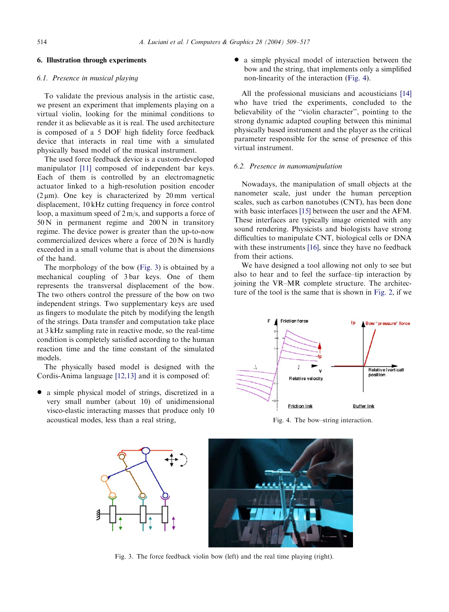#### 6. Illustration through experiments

#### 6.1. Presence in musical playing

To validate the previous analysis in the artistic case, we present an experiment that implements playing on a virtual violin, looking for the minimal conditions to render it as believable as it is real. The used architecture is composed of a 5 DOF high fidelity force feedback device that interacts in real time with a simulated physically based model of the musical instrument.

The used force feedback device is a custom-developed manipulator [\[11\]](#page-8-0) composed of independent bar keys. Each of them is controlled by an electromagnetic actuator linked to a high-resolution position encoder ( $2 \mu m$ ). One key is characterized by  $20 \text{ mm}$  vertical displacement, 10 kHz cutting frequency in force control loop, a maximum speed of 2 m/s, and supports a force of 50 N in permanent regime and 200 N in transitory regime. The device power is greater than the up-to-now commercialized devices where a force of 20 N is hardly exceeded in a small volume that is about the dimensions of the hand.

The morphology of the bow (Fig. 3) is obtained by a mechanical coupling of 3 bar keys. One of them represents the transversal displacement of the bow. The two others control the pressure of the bow on two independent strings. Two supplementary keys are used as fingers to modulate the pitch by modifying the length of the strings. Data transfer and computation take place at 3 kHz sampling rate in reactive mode, so the real-time condition is completely satisfied according to the human reaction time and the time constant of the simulated models.

The physically based model is designed with the Cordis-Anima language [\[12,13\]](#page-8-0) and it is composed of:

• a simple physical model of strings, discretized in a very small number (about 10) of unidimensional visco-elastic interacting masses that produce only 10 acoustical modes, less than a real string,

• a simple physical model of interaction between the bow and the string, that implements only a simplified non-linearity of the interaction (Fig. 4).

All the professional musicians and acousticians [\[14\]](#page-8-0) who have tried the experiments, concluded to the believability of the ''violin character'', pointing to the strong dynamic adapted coupling between this minimal physically based instrument and the player as the critical parameter responsible for the sense of presence of this virtual instrument.

#### 6.2. Presence in nanomanipulation

Nowadays, the manipulation of small objects at the nanometer scale, just under the human perception scales, such as carbon nanotubes (CNT), has been done with basic interfaces [\[15\]](#page-8-0) between the user and the AFM. These interfaces are typically image oriented with any sound rendering. Physicists and biologists have strong difficulties to manipulate CNT, biological cells or DNA with these instruments [\[16\],](#page-8-0) since they have no feedback from their actions.

We have designed a tool allowing not only to see but also to hear and to feel the surface–tip interaction by joining the VR–MR complete structure. The architecture of the tool is the same that is shown in [Fig. 2,](#page-3-0) if we



Fig. 4. The bow–string interaction.



Fig. 3. The force feedback violin bow (left) and the real time playing (right).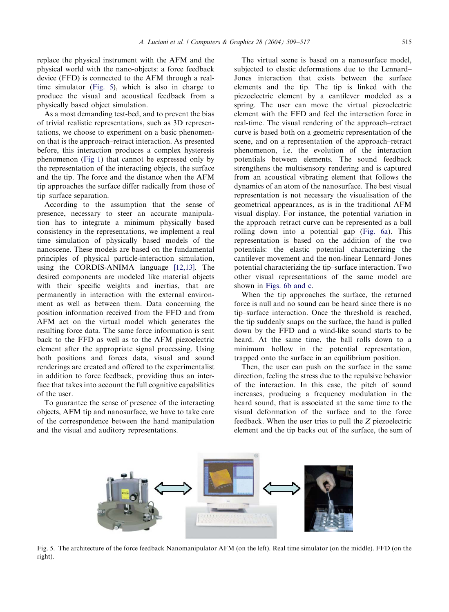replace the physical instrument with the AFM and the physical world with the nano-objects: a force feedback device (FFD) is connected to the AFM through a realtime simulator (Fig. 5), which is also in charge to produce the visual and acoustical feedback from a physically based object simulation.

As a most demanding test-bed, and to prevent the bias of trivial realistic representations, such as 3D representations, we choose to experiment on a basic phenomenon that is the approach–retract interaction. As presented before, this interaction produces a complex hysteresis phenomenon [\(Fig 1](#page-1-0)) that cannot be expressed only by the representation of the interacting objects, the surface and the tip. The force and the distance when the AFM tip approaches the surface differ radically from those of tip–surface separation.

According to the assumption that the sense of presence, necessary to steer an accurate manipulation has to integrate a minimum physically based consistency in the representations, we implement a real time simulation of physically based models of the nanoscene. These models are based on the fundamental principles of physical particle-interaction simulation, using the CORDIS-ANIMA language [\[12,13\].](#page-8-0) The desired components are modeled like material objects with their specific weights and inertias, that are permanently in interaction with the external environment as well as between them. Data concerning the position information received from the FFD and from AFM act on the virtual model which generates the resulting force data. The same force information is sent back to the FFD as well as to the AFM piezoelectric element after the appropriate signal processing. Using both positions and forces data, visual and sound renderings are created and offered to the experimentalist in addition to force feedback, providing thus an interface that takes into account the full cognitive capabilities of the user.

To guarantee the sense of presence of the interacting objects, AFM tip and nanosurface, we have to take care of the correspondence between the hand manipulation and the visual and auditory representations.

The virtual scene is based on a nanosurface model, subjected to elastic deformations due to the Lennard– Jones interaction that exists between the surface elements and the tip. The tip is linked with the piezoelectric element by a cantilever modeled as a spring. The user can move the virtual piezoelectric element with the FFD and feel the interaction force in real-time. The visual rendering of the approach–retract curve is based both on a geometric representation of the scene, and on a representation of the approach–retract phenomenon, i.e. the evolution of the interaction potentials between elements. The sound feedback strengthens the multisensory rendering and is captured from an acoustical vibrating element that follows the dynamics of an atom of the nanosurface. The best visual representation is not necessary the visualisation of the geometrical appearances, as is in the traditional AFM visual display. For instance, the potential variation in the approach–retract curve can be represented as a ball rolling down into a potential gap ([Fig. 6a](#page-7-0)). This representation is based on the addition of the two potentials: the elastic potential characterizing the cantilever movement and the non-linear Lennard–Jones potential characterizing the tip–surface interaction. Two other visual representations of the same model are shown in [Figs. 6b and c.](#page-7-0)

When the tip approaches the surface, the returned force is null and no sound can be heard since there is no tip–surface interaction. Once the threshold is reached, the tip suddenly snaps on the surface, the hand is pulled down by the FFD and a wind-like sound starts to be heard. At the same time, the ball rolls down to a minimum hollow in the potential representation, trapped onto the surface in an equilibrium position.

Then, the user can push on the surface in the same direction, feeling the stress due to the repulsive behavior of the interaction. In this case, the pitch of sound increases, producing a frequency modulation in the heard sound, that is associated at the same time to the visual deformation of the surface and to the force feedback. When the user tries to pull the Z piezoelectric element and the tip backs out of the surface, the sum of



#### A. Luciani et al. *Computers & Graphics*  $28/2004$  509–517 515

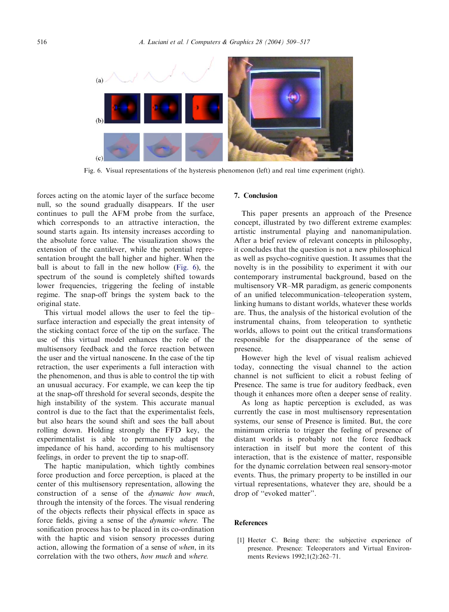<span id="page-7-0"></span>

Fig. 6. Visual representations of the hysteresis phenomenon (left) and real time experiment (right).

forces acting on the atomic layer of the surface become null, so the sound gradually disappears. If the user continues to pull the AFM probe from the surface, which corresponds to an attractive interaction, the sound starts again. Its intensity increases according to the absolute force value. The visualization shows the extension of the cantilever, while the potential representation brought the ball higher and higher. When the ball is about to fall in the new hollow (Fig. 6), the spectrum of the sound is completely shifted towards lower frequencies, triggering the feeling of instable regime. The snap-off brings the system back to the original state.

This virtual model allows the user to feel the tip– surface interaction and especially the great intensity of the sticking contact force of the tip on the surface. The use of this virtual model enhances the role of the multisensory feedback and the force reaction between the user and the virtual nanoscene. In the case of the tip retraction, the user experiments a full interaction with the phenomenon, and thus is able to control the tip with an unusual accuracy. For example, we can keep the tip at the snap-off threshold for several seconds, despite the high instability of the system. This accurate manual control is due to the fact that the experimentalist feels, but also hears the sound shift and sees the ball about rolling down. Holding strongly the FFD key, the experimentalist is able to permanently adapt the impedance of his hand, according to his multisensory feelings, in order to prevent the tip to snap-off.

The haptic manipulation, which tightly combines force production and force perception, is placed at the center of this multisensory representation, allowing the construction of a sense of the dynamic how much, through the intensity of the forces. The visual rendering of the objects reflects their physical effects in space as force fields, giving a sense of the dynamic where. The sonification process has to be placed in its co-ordination with the haptic and vision sensory processes during action, allowing the formation of a sense of when, in its correlation with the two others, how much and where.

# 7. Conclusion

This paper presents an approach of the Presence concept, illustrated by two different extreme examples: artistic instrumental playing and nanomanipulation. After a brief review of relevant concepts in philosophy, it concludes that the question is not a new philosophical as well as psycho-cognitive question. It assumes that the novelty is in the possibility to experiment it with our contemporary instrumental background, based on the multisensory VR–MR paradigm, as generic components of an unified telecommunication–teleoperation system, linking humans to distant worlds, whatever these worlds are. Thus, the analysis of the historical evolution of the instrumental chains, from teleoperation to synthetic worlds, allows to point out the critical transformations responsible for the disappearance of the sense of presence.

However high the level of visual realism achieved today, connecting the visual channel to the action channel is not sufficient to elicit a robust feeling of Presence. The same is true for auditory feedback, even though it enhances more often a deeper sense of reality.

As long as haptic perception is excluded, as was currently the case in most multisensory representation systems, our sense of Presence is limited. But, the core minimum criteria to trigger the feeling of presence of distant worlds is probably not the force feedback interaction in itself but more the content of this interaction, that is the existence of matter, responsible for the dynamic correlation between real sensory-motor events. Thus, the primary property to be instilled in our virtual representations, whatever they are, should be a drop of ''evoked matter''.

# References

[1] Heeter C. Being there: the subjective experience of presence. Presence: Teleoperators and Virtual Environments Reviews 1992;1(2):262–71.